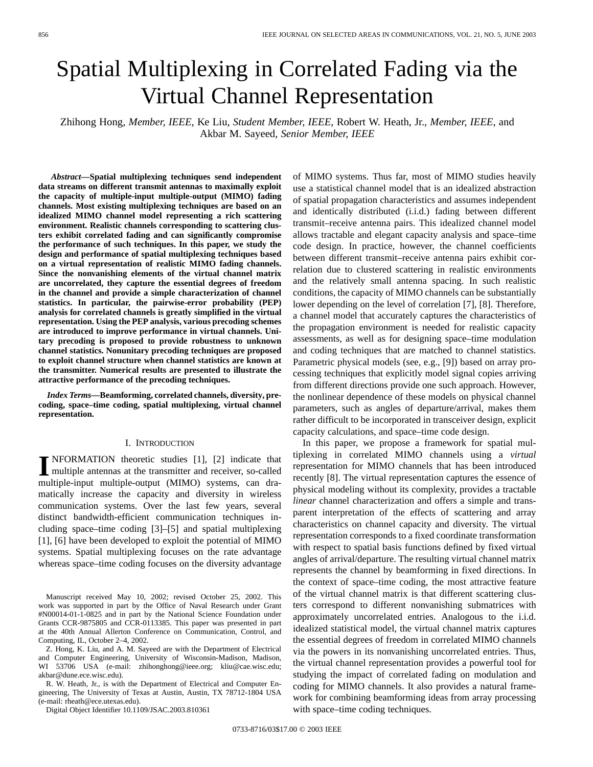# Spatial Multiplexing in Correlated Fading via the Virtual Channel Representation

Zhihong Hong*, Member, IEEE*, Ke Liu*, Student Member, IEEE*, Robert W. Heath, Jr.*, Member, IEEE*, and Akbar M. Sayeed*, Senior Member, IEEE*

*Abstract—***Spatial multiplexing techniques send independent data streams on different transmit antennas to maximally exploit the capacity of multiple-input multiple-output (MIMO) fading channels. Most existing multiplexing techniques are based on an idealized MIMO channel model representing a rich scattering environment. Realistic channels corresponding to scattering clusters exhibit correlated fading and can significantly compromise the performance of such techniques. In this paper, we study the design and performance of spatial multiplexing techniques based on a virtual representation of realistic MIMO fading channels. Since the nonvanishing elements of the virtual channel matrix are uncorrelated, they capture the essential degrees of freedom in the channel and provide a simple characterization of channel statistics. In particular, the pairwise-error probability (PEP) analysis for correlated channels is greatly simplified in the virtual representation. Using the PEP analysis, various precoding schemes are introduced to improve performance in virtual channels. Unitary precoding is proposed to provide robustness to unknown channel statistics. Nonunitary precoding techniques are proposed to exploit channel structure when channel statistics are known at the transmitter. Numerical results are presented to illustrate the attractive performance of the precoding techniques.**

*Index Terms—***Beamforming, correlated channels, diversity, precoding, space–time coding, spatial multiplexing, virtual channel representation.**

## I. INTRODUCTION

**I** NFORMATION theoretic studies [1], [2] indicate that multiple antennas at the transmitter and receiver, so-called multiple-input multiple-output (MIMO) systems, can dramatically increase the capacity and diversity in wireless communication systems. Over the last few years, several distinct bandwidth-efficient communication techniques including space–time coding [3]–[5] and spatial multiplexing [1], [6] have been developed to exploit the potential of MIMO systems. Spatial multiplexing focuses on the rate advantage whereas space–time coding focuses on the diversity advantage

Manuscript received May 10, 2002; revised October 25, 2002. This work was supported in part by the Office of Naval Research under Grant #N00014-01-1-0825 and in part by the National Science Foundation under Grants CCR-9875805 and CCR-0113385. This paper was presented in part at the 40th Annual Allerton Conference on Communication, Control, and Computing, IL, October 2–4, 2002.

Z. Hong, K. Liu, and A. M. Sayeed are with the Department of Electrical and Computer Engineering, University of Wisconsin-Madison, Madison, WI 53706 USA (e-mail: zhihonghong@ieee.org; kliu@cae.wisc.edu; akbar@dune.ece.wisc.edu).

R. W. Heath, Jr., is with the Department of Electrical and Computer Engineering, The University of Texas at Austin, Austin, TX 78712-1804 USA (e-mail: rheath@ece.utexas.edu).

Digital Object Identifier 10.1109/JSAC.2003.810361

of MIMO systems. Thus far, most of MIMO studies heavily use a statistical channel model that is an idealized abstraction of spatial propagation characteristics and assumes independent and identically distributed (i.i.d.) fading between different transmit–receive antenna pairs. This idealized channel model allows tractable and elegant capacity analysis and space–time code design. In practice, however, the channel coefficients between different transmit–receive antenna pairs exhibit correlation due to clustered scattering in realistic environments and the relatively small antenna spacing. In such realistic conditions, the capacity of MIMO channels can be substantially lower depending on the level of correlation [7], [8]. Therefore, a channel model that accurately captures the characteristics of the propagation environment is needed for realistic capacity assessments, as well as for designing space–time modulation and coding techniques that are matched to channel statistics. Parametric physical models (see, e.g., [9]) based on array processing techniques that explicitly model signal copies arriving from different directions provide one such approach. However, the nonlinear dependence of these models on physical channel parameters, such as angles of departure/arrival, makes them rather difficult to be incorporated in transceiver design, explicit capacity calculations, and space–time code design.

In this paper, we propose a framework for spatial multiplexing in correlated MIMO channels using a *virtual* representation for MIMO channels that has been introduced recently [8]. The virtual representation captures the essence of physical modeling without its complexity, provides a tractable *linear* channel characterization and offers a simple and transparent interpretation of the effects of scattering and array characteristics on channel capacity and diversity. The virtual representation corresponds to a fixed coordinate transformation with respect to spatial basis functions defined by fixed virtual angles of arrival/departure. The resulting virtual channel matrix represents the channel by beamforming in fixed directions. In the context of space–time coding, the most attractive feature of the virtual channel matrix is that different scattering clusters correspond to different nonvanishing submatrices with approximately uncorrelated entries. Analogous to the i.i.d. idealized statistical model, the virtual channel matrix captures the essential degrees of freedom in correlated MIMO channels via the powers in its nonvanishing uncorrelated entries. Thus, the virtual channel representation provides a powerful tool for studying the impact of correlated fading on modulation and coding for MIMO channels. It also provides a natural framework for combining beamforming ideas from array processing with space–time coding techniques.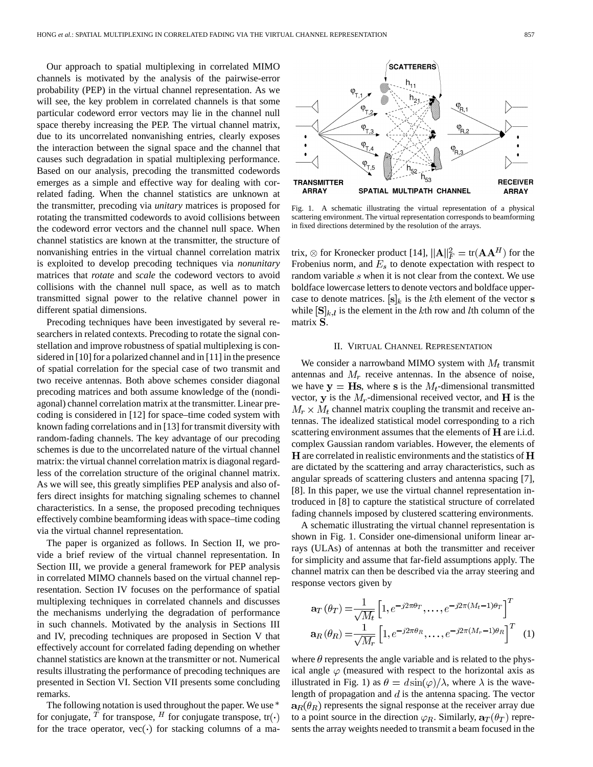Our approach to spatial multiplexing in correlated MIMO channels is motivated by the analysis of the pairwise-error probability (PEP) in the virtual channel representation. As we will see, the key problem in correlated channels is that some particular codeword error vectors may lie in the channel null space thereby increasing the PEP. The virtual channel matrix, due to its uncorrelated nonvanishing entries, clearly exposes the interaction between the signal space and the channel that causes such degradation in spatial multiplexing performance. Based on our analysis, precoding the transmitted codewords emerges as a simple and effective way for dealing with correlated fading. When the channel statistics are unknown at the transmitter, precoding via *unitary* matrices is proposed for rotating the transmitted codewords to avoid collisions between the codeword error vectors and the channel null space. When channel statistics are known at the transmitter, the structure of nonvanishing entries in the virtual channel correlation matrix is exploited to develop precoding techniques via *nonunitary* matrices that *rotate* and *scale* the codeword vectors to avoid collisions with the channel null space, as well as to match transmitted signal power to the relative channel power in different spatial dimensions.

Precoding techniques have been investigated by several researchers in related contexts. Precoding to rotate the signal constellation and improve robustness of spatial multiplexing is considered in [10] for a polarized channel and in [11] in the presence of spatial correlation for the special case of two transmit and two receive antennas. Both above schemes consider diagonal precoding matrices and both assume knowledge of the (nondiagonal) channel correlation matrix at the transmitter. Linear precoding is considered in [12] for space–time coded system with known fading correlations and in [13] for transmit diversity with random-fading channels. The key advantage of our precoding schemes is due to the uncorrelated nature of the virtual channel matrix: the virtual channel correlation matrix is diagonal regardless of the correlation structure of the original channel matrix. As we will see, this greatly simplifies PEP analysis and also offers direct insights for matching signaling schemes to channel characteristics. In a sense, the proposed precoding techniques effectively combine beamforming ideas with space–time coding via the virtual channel representation.

The paper is organized as follows. In Section II, we provide a brief review of the virtual channel representation. In Section III, we provide a general framework for PEP analysis in correlated MIMO channels based on the virtual channel representation. Section IV focuses on the performance of spatial multiplexing techniques in correlated channels and discusses the mechanisms underlying the degradation of performance in such channels. Motivated by the analysis in Sections III and IV, precoding techniques are proposed in Section V that effectively account for correlated fading depending on whether channel statistics are known at the transmitter or not. Numerical results illustrating the performance of precoding techniques are presented in Section VI. Section VII presents some concluding remarks.

The following notation is used throughout the paper. We use  $*$ for conjugate, <sup>T</sup> for transpose, <sup>H</sup> for conjugate transpose, tr(.) for the trace operator,  $vec(\cdot)$  for stacking columns of a ma-

Fig. 1. A schematic illustrating the virtual representation of a physical scattering environment. The virtual representation corresponds to beamforming in fixed directions determined by the resolution of the arrays.

trix,  $\otimes$  for Kronecker product [14],  $||A||_F^2 = \text{tr}(AA^H)$  for the Frobenius norm, and  $E_s$  to denote expectation with respect to random variable  $s$  when it is not clear from the context. We use boldface lowercase letters to denote vectors and boldface uppercase to denote matrices.  $[\mathbf{s}]_k$  is the kth element of the vector **s** while  $[\mathbf{S}]_{k,l}$  is the element in the kth row and lth column of the matrix S.

#### II. VIRTUAL CHANNEL REPRESENTATION

We consider a narrowband MIMO system with  $M_t$  transmit antennas and  $M_r$  receive antennas. In the absence of noise, we have  $y = Hs$ , where s is the  $M_t$ -dimensional transmitted vector, y is the  $M_r$ -dimensional received vector, and **H** is the  $M_r \times M_t$  channel matrix coupling the transmit and receive antennas. The idealized statistical model corresponding to a rich scattering environment assumes that the elements of  $H$  are i.i.d. complex Gaussian random variables. However, the elements of  $H$  are correlated in realistic environments and the statistics of  $H$ are dictated by the scattering and array characteristics, such as angular spreads of scattering clusters and antenna spacing [7], [8]. In this paper, we use the virtual channel representation introduced in [8] to capture the statistical structure of correlated fading channels imposed by clustered scattering environments.

A schematic illustrating the virtual channel representation is shown in Fig. 1. Consider one-dimensional uniform linear arrays (ULAs) of antennas at both the transmitter and receiver for simplicity and assume that far-field assumptions apply. The channel matrix can then be described via the array steering and response vectors given by

$$
\mathbf{a}_{T}(\theta_{T}) = \frac{1}{\sqrt{M_t}} \left[ 1, e^{-j2\pi\theta_{T}}, \dots, e^{-j2\pi(M_t - 1)\theta_{T}} \right]^{T}
$$

$$
\mathbf{a}_{R}(\theta_{R}) = \frac{1}{\sqrt{M_r}} \left[ 1, e^{-j2\pi\theta_{R}}, \dots, e^{-j2\pi(M_r - 1)\theta_{R}} \right]^{T} \quad (1)
$$

where  $\theta$  represents the angle variable and is related to the physical angle  $\varphi$  (measured with respect to the horizontal axis as illustrated in Fig. 1) as  $\theta = d \sin(\varphi)/\lambda$ , where  $\lambda$  is the wavelength of propagation and  $d$  is the antenna spacing. The vector  $a_R(\theta_R)$  represents the signal response at the receiver array due to a point source in the direction  $\varphi_R$ . Similarly,  $a_T(\theta_T)$  represents the array weights needed to transmit a beam focused in the

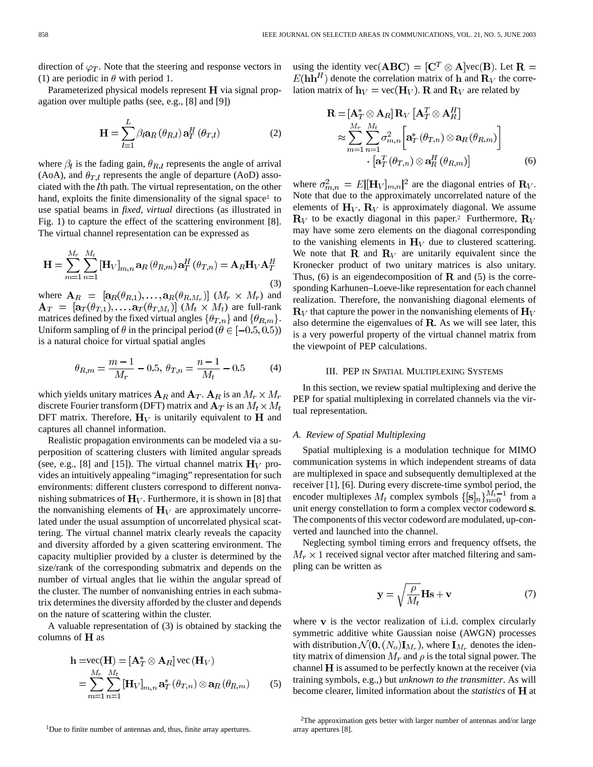direction of  $\varphi_T$ . Note that the steering and response vectors in (1) are periodic in  $\theta$  with period 1.

Parameterized physical models represent  $H$  via signal propagation over multiple paths (see, e.g., [8] and [9])

$$
\mathbf{H} = \sum_{l=1}^{L} \beta_l \mathbf{a}_R \left( \theta_{R,l} \right) \mathbf{a}_T^H \left( \theta_{T,l} \right) \tag{2}
$$

where  $\beta_l$  is the fading gain,  $\theta_{R,l}$  represents the angle of arrival (AoA), and  $\theta_{T,l}$  represents the angle of departure (AoD) associated with the  $l$ th path. The virtual representation, on the other hand, exploits the finite dimensionality of the signal space<sup>1</sup> to use spatial beams in *fixed, virtual* directions (as illustrated in Fig. 1) to capture the effect of the scattering environment [8]. The virtual channel representation can be expressed as

$$
\mathbf{H} = \sum_{m=1}^{M_T} \sum_{n=1}^{M_t} \left[ \mathbf{H}_V \right]_{m,n} \mathbf{a}_R \left( \theta_{R,m} \right) \mathbf{a}_T^H \left( \theta_{T,n} \right) = \mathbf{A}_R \mathbf{H}_V \mathbf{A}_T^H
$$
\n(3)

where  $A_R = [\mathbf{a}_R(\theta_{R,1}), \dots, \mathbf{a}_R(\theta_{R,M_r})]$   $(M_r \times M_r)$  and  $A_T = [\mathbf{a}_T(\theta_{T,1}), \dots, \mathbf{a}_T(\theta_{T,M_t})]$   $(M_t \times M_t)$  are full-rank matrices defined by the fixed virtual angles  $\{\theta_{T,n}\}\$  and  $\{\theta_{R,m}\}.$ Uniform sampling of  $\theta$  in the principal period ( $\theta \in [-0.5, 0.5)$ ) is a natural choice for virtual spatial angles

$$
\theta_{R,m} = \frac{m-1}{M_r} - 0.5, \ \theta_{T,n} = \frac{n-1}{M_t} - 0.5 \tag{4}
$$

which yields unitary matrices  $A_R$  and  $A_T$ .  $A_R$  is an  $M_r \times M_r$ discrete Fourier transform (DFT) matrix and  $A_T$  is an  $M_t \times M_t$ DFT matrix. Therefore,  $\mathbf{H}_V$  is unitarily equivalent to  $\mathbf{H}$  and captures all channel information.

Realistic propagation environments can be modeled via a superposition of scattering clusters with limited angular spreads (see, e.g., [8] and [15]). The virtual channel matrix  $\mathbf{H}_V$  provides an intuitively appealing "imaging" representation for such environments: different clusters correspond to different nonvanishing submatrices of  $\mathbf{H}_V$ . Furthermore, it is shown in [8] that the nonvanishing elements of  $\mathbf{H}_V$  are approximately uncorrelated under the usual assumption of uncorrelated physical scattering. The virtual channel matrix clearly reveals the capacity and diversity afforded by a given scattering environment. The capacity multiplier provided by a cluster is determined by the size/rank of the corresponding submatrix and depends on the number of virtual angles that lie within the angular spread of the cluster. The number of nonvanishing entries in each submatrix determines the diversity afforded by the cluster and depends on the nature of scattering within the cluster.

A valuable representation of (3) is obtained by stacking the columns of  $H$  as

$$
\mathbf{h} = \text{vec}(\mathbf{H}) = [\mathbf{A}_T^* \otimes \mathbf{A}_R] \text{ vec } (\mathbf{H}_V)
$$
  
= 
$$
\sum_{m=1}^{M_r} \sum_{n=1}^{M_t} [\mathbf{H}_V]_{m,n} \mathbf{a}_T^* (\theta_{T,n}) \otimes \mathbf{a}_R (\theta_{R,m})
$$
 (5)

using the identity vec  $(ABC) = [C^T \otimes A] \text{vec}(B)$ . Let  $R =$  $E(\mathbf{h}\mathbf{h}^H)$  denote the correlation matrix of **h** and  $\mathbf{R}_V$  the correlation matrix of  $\mathbf{h}_V = \text{vec}(\mathbf{H}_V)$ . R and  $\mathbf{R}_V$  are related by

$$
\mathbf{R} = [\mathbf{A}_T^* \otimes \mathbf{A}_R] \mathbf{R}_V \left[ \mathbf{A}_T^T \otimes \mathbf{A}_R^H \right] \n\approx \sum_{m=1}^{M_r} \sum_{n=1}^{M_t} \sigma_{m,n}^2 \left[ \mathbf{a}_T^* \left( \theta_{T,n} \right) \otimes \mathbf{a}_R \left( \theta_{R,m} \right) \right] \n\cdot \left[ \mathbf{a}_T^T \left( \theta_{T,n} \right) \otimes \mathbf{a}_R^H \left( \theta_{R,m} \right) \right]
$$
\n(6)

where  $\sigma_{m,n}^2 = E[[\mathbf{H}_V]_{m,n}]^2$  are the diagonal entries of  $\mathbf{R}_V$ . Note that due to the approximately uncorrelated nature of the elements of  $H_V$ ,  $R_V$  is approximately diagonal. We assume  $\mathbf{R}_V$  to be exactly diagonal in this paper.<sup>2</sup> Furthermore,  $\mathbf{R}_V$ may have some zero elements on the diagonal corresponding to the vanishing elements in  $\mathbf{H}_V$  due to clustered scattering. We note that **R** and  $\mathbf{R}_V$  are unitarily equivalent since the Kronecker product of two unitary matrices is also unitary. Thus, (6) is an eigendecomposition of  $\bf{R}$  and (5) is the corresponding Karhunen–Loeve-like representation for each channel realization. Therefore, the nonvanishing diagonal elements of  $\mathbf{R}_V$  that capture the power in the nonvanishing elements of  $\mathbf{H}_V$ also determine the eigenvalues of  $\bf R$ . As we will see later, this is a very powerful property of the virtual channel matrix from the viewpoint of PEP calculations.

# III. PEP IN SPATIAL MULTIPLEXING SYSTEMS

In this section, we review spatial multiplexing and derive the PEP for spatial multiplexing in correlated channels via the virtual representation.

## *A. Review of Spatial Multiplexing*

Spatial multiplexing is a modulation technique for MIMO communication systems in which independent streams of data are multiplexed in space and subsequently demultiplexed at the receiver [1], [6]. During every discrete-time symbol period, the encoder multiplexes  $M_t$  complex symbols  $\{[\mathbf{s}]_n\}_{n=0}^{M_t-1}$  from a unit energy constellation to form a complex vector codeword s. The components of this vector codeword are modulated, up-converted and launched into the channel.

Neglecting symbol timing errors and frequency offsets, the  $M_r \times 1$  received signal vector after matched filtering and sampling can be written as

$$
\mathbf{y} = \sqrt{\frac{\rho}{M_t}} \mathbf{Hs} + \mathbf{v}
$$
 (7)

where  $v$  is the vector realization of i.i.d. complex circularly symmetric additive white Gaussian noise (AWGN) processes with distribution  $\mathcal{N}(\mathbf{0}, (N_o) \mathbf{I}_{M_r})$ , where  $\mathbf{I}_{M_r}$  denotes the identity matrix of dimension  $M_r$  and  $\rho$  is the total signal power. The channel  $H$  is assumed to be perfectly known at the receiver (via training symbols, e.g.,) but *unknown to the transmitter*. As will become clearer, limited information about the *statistics* of H at

<sup>1</sup>Due to finite number of antennas and, thus, finite array apertures.

<sup>2</sup>The approximation gets better with larger number of antennas and/or large array apertures [8].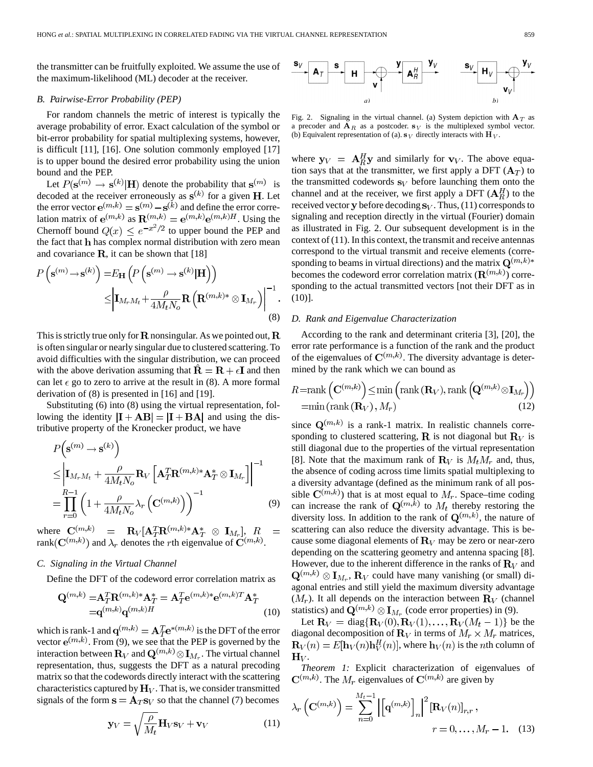the transmitter can be fruitfully exploited. We assume the use of the maximum-likelihood (ML) decoder at the receiver.

#### *B. Pairwise-Error Probability (PEP)*

For random channels the metric of interest is typically the average probability of error. Exact calculation of the symbol or bit-error probability for spatial multiplexing systems, however, is difficult [11], [16]. One solution commonly employed [17] is to upper bound the desired error probability using the union bound and the PEP.

Let  $P(\mathbf{s}^{(m)} \to \mathbf{s}^{(k)} | \mathbf{H})$  denote the probability that  $\mathbf{s}^{(m)}$  is decoded at the receiver erroneously as  $s^{(k)}$  for a given H. Let the error vector  $e^{(m,k)} = s^{(m)} - s^{(k)}$  and define the error correlation matrix of  $e^{(m,k)}$  as  $\mathbf{R}^{(m,k)} = e^{(m,k)}e^{(m,k)H}$ . Using the Chernoff bound  $Q(x) \le e^{-x^2/2}$  to upper bound the PEP and the fact that h has complex normal distribution with zero mean and covariance  $\mathbf{R}$ , it can be shown that [18]

$$
P\left(\mathbf{s}^{(m)}\!\rightarrow\!\mathbf{s}^{(k)}\right) = E_{\mathbf{H}}\left(P\left(\mathbf{s}^{(m)}\rightarrow\mathbf{s}^{(k)}|\mathbf{H}\right)\right)
$$

$$
\leq \left|\mathbf{I}_{M_rM_t} + \frac{\rho}{4M_tN_o}\mathbf{R}\left(\mathbf{R}^{(m,k)*}\otimes\mathbf{I}_{M_r}\right)\right|^{-1}.\tag{8}
$$

This is strictly true only for  $\bf R$  nonsingular. As we pointed out,  $\bf R$ is often singular or nearly singular due to clustered scattering. To avoid difficulties with the singular distribution, we can proceed with the above derivation assuming that  $\mathbf{R} = \mathbf{R} + \epsilon \mathbf{I}$  and then can let  $\epsilon$  go to zero to arrive at the result in (8). A more formal derivation of (8) is presented in [16] and [19].

Substituting (6) into (8) using the virtual representation, following the identity  $|\mathbf{I} + \mathbf{AB}| = |\mathbf{I} + \mathbf{BA}|$  and using the distributive property of the Kronecker product, we have

$$
P\left(\mathbf{s}^{(m)} \to \mathbf{s}^{(k)}\right)
$$
  
\n
$$
\leq \left| \mathbf{I}_{M_r M_t} + \frac{\rho}{4M_t N_o} \mathbf{R}_V \left[ \mathbf{A}_T^T \mathbf{R}^{(m,k)*} \mathbf{A}_T^* \otimes \mathbf{I}_{M_r} \right] \right|^{-1}
$$
  
\n
$$
= \prod_{r=0}^{R-1} \left( 1 + \frac{\rho}{4M_t N_o} \lambda_r \left( \mathbf{C}^{(m,k)} \right) \right)^{-1}
$$
(9)

where  $\mathbf{C}^{(m,k)}$  =  $\mathbf{R}_V[\mathbf{A}_T^T \mathbf{R}^{(m,k)*} \mathbf{A}_T^* \otimes \mathbf{I}_{M_r}], R$ rank  $(C^{(m,k)})$  and  $\lambda_r$  denotes the rth eigenvalue of  $C^{(m,k)}$ .

## *C. Signaling in the Virtual Channel*

Define the DFT of the codeword error correlation matrix as

$$
\mathbf{Q}^{(m,k)} = \mathbf{A}_T^T \mathbf{R}^{(m,k)*} \mathbf{A}_T^* = \mathbf{A}_T^T \mathbf{e}^{(m,k)*} \mathbf{e}^{(m,k)T} \mathbf{A}_T^*
$$

$$
= \mathbf{q}^{(m,k)} \mathbf{q}^{(m,k)H}
$$
(10)

which is rank-1 and  $q^{(m,k)} = A_T^T e^{*(m,k)}$  is the DFT of the error vector  $e^{(m,k)}$ . From (9), we see that the PEP is governed by the interaction between  $\mathbf{R}_V$  and  $\mathbf{Q}^{(m,k)} \otimes \mathbf{I}_{M_r}$ . The virtual channel representation, thus, suggests the DFT as a natural precoding matrix so that the codewords directly interact with the scattering characteristics captured by  $\mathbf{H}_V$ . That is, we consider transmitted signals of the form  $s = A_T s_V$  so that the channel (7) becomes

$$
\mathbf{y}_V = \sqrt{\frac{\rho}{M_t}} \mathbf{H}_V \mathbf{s}_V + \mathbf{v}_V \tag{11}
$$



Fig. 2. Signaling in the virtual channel. (a) System depiction with  $A_T$  as a precoder and  $A_R$  as a postcoder.  $s_V$  is the multiplexed symbol vector. (b) Equivalent representation of (a).  $s_V$  directly interacts with  $H_V$ .

where  $y_V = A_R^H y$  and similarly for  $v_V$ . The above equation says that at the transmitter, we first apply a DFT  $(A_T)$  to the transmitted codewords  $s_V$  before launching them onto the channel and at the receiver, we first apply a DFT  $({\bf A}_{R}^{H})$  to the received vector y before decoding  $s_V$ . Thus, (11) corresponds to signaling and reception directly in the virtual (Fourier) domain as illustrated in Fig. 2. Our subsequent development is in the context of (11). In this context, the transmit and receive antennas correspond to the virtual transmit and receive elements (corresponding to beams in virtual directions) and the matrix  $\mathbf{Q}^{(m,k)*}$ becomes the codeword error correlation matrix  $({\bf R}^{(m,k)})$  corresponding to the actual transmitted vectors [not their DFT as in (10)].

## *D. Rank and Eigenvalue Characterization*

According to the rank and determinant criteria [3], [20], the error rate performance is a function of the rank and the product of the eigenvalues of  $\mathbf{C}^{(m,k)}$ . The diversity advantage is determined by the rank which we can bound as

$$
R = \text{rank}\left(\mathbf{C}^{(m,k)}\right) \le \min\left(\text{rank}\left(\mathbf{R}_V\right), \text{rank}\left(\mathbf{Q}^{(m,k)} \otimes \mathbf{I}_{M_r}\right)\right) \\ = \min\left(\text{rank}\left(\mathbf{R}_V\right), M_r\right) \tag{12}
$$

since  $\mathbf{Q}^{(m,k)}$  is a rank-1 matrix. In realistic channels corresponding to clustered scattering, **R** is not diagonal but  $\mathbf{R}_V$  is still diagonal due to the properties of the virtual representation [8]. Note that the maximum rank of  $\mathbf{R}_V$  is  $M_t M_r$  and, thus, the absence of coding across time limits spatial multiplexing to a diversity advantage (defined as the minimum rank of all possible  $\mathbf{C}^{(m,k)}$  that is at most equal to  $M_r$ . Space–time coding can increase the rank of  $\mathbf{Q}^{(m,\tilde{k})}$  to  $M_t$  thereby restoring the diversity loss. In addition to the rank of  $\mathbf{Q}^{(m,k)}$ , the nature of scattering can also reduce the diversity advantage. This is because some diagonal elements of  $\mathbf{R}_V$  may be zero or near-zero depending on the scattering geometry and antenna spacing [8]. However, due to the inherent difference in the ranks of  $\mathbf{R}_V$  and  $\mathbf{Q}^{(m,k)} \otimes \mathbf{I}_{M_r}$ ,  $\mathbf{R}_V$  could have many vanishing (or small) diagonal entries and still yield the maximum diversity advantage  $(M_r)$ . It all depends on the interaction between  $\mathbf{R}_V$  (channel statistics) and  $\mathbf{Q}^{(m,k)} \otimes \mathbf{I}_{M_r}$  (code error properties) in (9).

Let  $\mathbf{R}_V = \text{diag}\{\mathbf{R}_V(0), \mathbf{R}_V(1), \dots, \mathbf{R}_V(M_t - 1)\}\$  be the diagonal decomposition of  $\mathbf{R}_V$  in terms of  $M_r \times M_r$  matrices,  $\mathbf{R}_V(n) = E[\mathbf{h}_V(n)\mathbf{h}_V^H(n)]$ , where  $\mathbf{h}_V(n)$  is the *n*th column of  $H_V$ .

*Theorem 1:* Explicit characterization of eigenvalues of  $\mathbf{C}^{(m,k)}$ . The  $M_r$  eigenvalues of  $\mathbf{C}^{(m,k)}$  are given by

$$
\lambda_r\left(\mathbf{C}^{(m,k)}\right) = \sum_{n=0}^{M_t - 1} \left| \left[\mathbf{q}^{(m,k)}\right]_n \right|^2 \left[\mathbf{R}_V(n)\right]_{r,r},
$$
  
\n
$$
r = 0, \dots, M_r - 1. \quad (13)
$$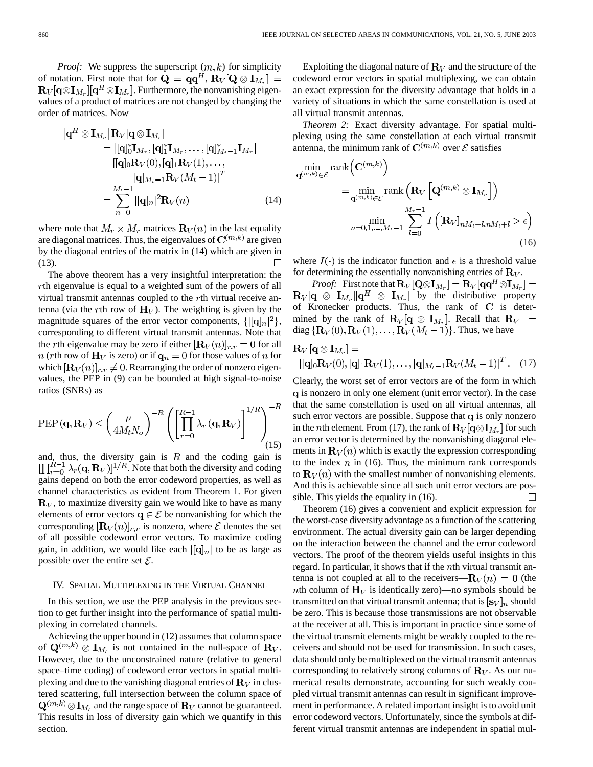*Proof:* We suppress the superscript  $(m, k)$  for simplicity of notation. First note that for  $\mathbf{Q} = \mathbf{q}\mathbf{q}^H$ ,  $\mathbf{R}_V[\mathbf{Q} \otimes \mathbf{I}_{M_r}] =$  $\mathbf{R}_V[\mathbf{q}\otimes \mathbf{I}_{M_r}][\mathbf{q}^H\otimes \mathbf{I}_{M_r}].$  Furthermore, the nonvanishing eigenvalues of a product of matrices are not changed by changing the order of matrices. Now

$$
\begin{aligned}\n\left[\mathbf{q}^H \otimes \mathbf{I}_{M_r}\right] \mathbf{R}_V \left[\mathbf{q} \otimes \mathbf{I}_{M_r}\right] \\
&= \left[\left[\mathbf{q}\right]_0^* \mathbf{I}_{M_r}, \left[\mathbf{q}\right]_1^* \mathbf{I}_{M_r}, \dots, \left[\mathbf{q}\right]_{M_t-1}^* \mathbf{I}_{M_r}\right] \\
\left[\left[\mathbf{q}\right]_0 \mathbf{R}_V(0), \left[\mathbf{q}\right]_1 \mathbf{R}_V(1), \dots, \\
\left[\mathbf{q}\right]_{M_t-1} \mathbf{R}_V(M_t-1)\right]^T \\
&= \sum_{n=0}^{M_t-1} \left[\left[\mathbf{q}\right]_n\right]^2 \mathbf{R}_V(n)\n\end{aligned} \tag{14}
$$

where note that  $M_r \times M_r$  matrices  $\mathbf{R}_V(n)$  in the last equality are diagonal matrices. Thus, the eigenvalues of  $\mathbf{C}^{(m,k)}$  are given by the diagonal entries of the matrix in (14) which are given in (13).

The above theorem has a very insightful interpretation: the th eigenvalue is equal to a weighted sum of the powers of all virtual transmit antennas coupled to the  $r$ th virtual receive antenna (via the rth row of  $H_V$ ). The weighting is given by the magnitude squares of the error vector components,  $\{ |[{\bf q}]_n|^2 \}$ , corresponding to different virtual transmit antennas. Note that the rth eigenvalue may be zero if either  $[\mathbf{R}_V(n)]_{r,r} = 0$  for all *n* (*r*th row of  $\mathbf{H}_V$  is zero) or if  $\mathbf{q}_n = 0$  for those values of *n* for which  $[\mathbf{R}_V(n)]_{r,r} \neq 0$ . Rearranging the order of nonzero eigenvalues, the PEP in (9) can be bounded at high signal-to-noise ratios (SNRs) as

$$
\text{PEP}(\mathbf{q}, \mathbf{R}_V) \le \left(\frac{\rho}{4M_tN_o}\right)^{-R} \left(\left[\prod_{r=0}^{R-1} \lambda_r(\mathbf{q}, \mathbf{R}_V)\right]^{1/R}\right)^{-R}
$$
\n(15)

and, thus, the diversity gain is  $R$  and the coding gain is  $\prod_{r=0}^{R-1} \lambda_r(\mathbf{q},\mathbf{R}_V)]^{1/R}$ . Note that both the diversity and coding gains depend on both the error codeword properties, as well as channel characteristics as evident from Theorem 1. For given  $\mathbf{R}_V$ , to maximize diversity gain we would like to have as many elements of error vectors  $q \in \mathcal{E}$  be nonvanishing for which the corresponding  $[\mathbf{R}_V(n)]_{r,r}$  is nonzero, where  $\mathcal E$  denotes the set of all possible codeword error vectors. To maximize coding gain, in addition, we would like each  $\vert\vert \mathbf{q} \vert_n\vert$  to be as large as possible over the entire set  $\mathcal{E}$ .

## IV. SPATIAL MULTIPLEXING IN THE VIRTUAL CHANNEL

In this section, we use the PEP analysis in the previous section to get further insight into the performance of spatial multiplexing in correlated channels.

Achieving the upper bound in (12) assumes that column space of  $\mathbf{Q}^{(m,k)} \otimes \mathbf{I}_{M_t}$  is not contained in the null-space of  $\mathbf{R}_V$ . However, due to the unconstrained nature (relative to general space–time coding) of codeword error vectors in spatial multiplexing and due to the vanishing diagonal entries of  $\mathbf{R}_V$  in clustered scattering, full intersection between the column space of  $\mathbf{Q}^{(m,k)} \otimes \mathbf{I}_{M_t}$  and the range space of  $\mathbf{R}_V$  cannot be guaranteed. This results in loss of diversity gain which we quantify in this section.

Exploiting the diagonal nature of  $\mathbf{R}_V$  and the structure of the codeword error vectors in spatial multiplexing, we can obtain an exact expression for the diversity advantage that holds in a variety of situations in which the same constellation is used at all virtual transmit antennas.

*Theorem 2:* Exact diversity advantage. For spatial multiplexing using the same constellation at each virtual transmit antenna, the minimum rank of  $\mathbf{C}^{(m,k)}$  over  $\mathcal E$  satisfies

$$
\min_{\mathbf{q}^{(m,k)} \in \mathcal{E}} \text{rank}\left(\mathbf{C}^{(m,k)}\right)
$$
\n
$$
= \min_{\mathbf{q}^{(m,k)} \in \mathcal{E}} \text{rank}\left(\mathbf{R}_V \left[\mathbf{Q}^{(m,k)} \otimes \mathbf{I}_{M_r}\right]\right)
$$
\n
$$
= \min_{n=0,1,\dots,M_t-1} \sum_{l=0}^{M_r-1} I\left(\left[\mathbf{R}_V\right]_{nM_t+l,nM_t+l} > \epsilon\right)
$$
\n(16)

where  $I(\cdot)$  is the indicator function and  $\epsilon$  is a threshold value for determining the essentially nonvanishing entries of  $\mathbf{R}_V$ .

*Proof:* First note that  $\mathbf{R}_V[\mathbf{Q}\otimes \mathbf{I}_{M_r}]=\mathbf{R}_V[\mathbf{q}\mathbf{q}^H\otimes \mathbf{I}_{M_r}]=0$  $\mathbf{R}_V[\mathbf{q} \otimes \mathbf{I}_{M_r}][\mathbf{q}^H \otimes \mathbf{I}_{M_r}]$  by the distributive property of Kronecker products. Thus, the rank of  $C$  is determined by the rank of  $R_V[\mathbf{q} \otimes \mathbf{I}_{M_r}]$ . Recall that  $\mathbf{R}_V =$ diag  $\{R_V(0), R_V(1), \ldots, R_V(M_t-1)\}$ . Thus, we have

$$
\mathbf{R}_V[\mathbf{q} \otimes \mathbf{I}_{M_r}] =
$$
\n
$$
[[\mathbf{q}]_0 \mathbf{R}_V(0), [\mathbf{q}]_1 \mathbf{R}_V(1), \dots, [\mathbf{q}]_{M_t-1} \mathbf{R}_V(M_t-1)]^T.
$$
\n(17)

Clearly, the worst set of error vectors are of the form in which is nonzero in only one element (unit error vector). In the case that the same constellation is used on all virtual antennas, all such error vectors are possible. Suppose that  $q$  is only nonzero in the *n*th element. From (17), the rank of  $\mathbf{R}_V[\mathbf{q} \otimes \mathbf{I}_{M_r}]$  for such an error vector is determined by the nonvanishing diagonal elements in  $\mathbf{R}_V(n)$  which is exactly the expression corresponding to the index  $n$  in (16). Thus, the minimum rank corresponds to  $\mathbf{R}_V(n)$  with the smallest number of nonvanishing elements. And this is achievable since all such unit error vectors are possible. This yields the equality in (16).  $\Box$ 

Theorem (16) gives a convenient and explicit expression for the worst-case diversity advantage as a function of the scattering environment. The actual diversity gain can be larger depending on the interaction between the channel and the error codeword vectors. The proof of the theorem yields useful insights in this regard. In particular, it shows that if the *th virtual transmit an*tenna is not coupled at all to the receivers— $R_V(n) = 0$  (the *n*th column of  $\mathbf{H}_V$  is identically zero)—no symbols should be transmitted on that virtual transmit antenna; that is  $[\mathbf{s}_V]_n$  should be zero. This is because those transmissions are not observable at the receiver at all. This is important in practice since some of the virtual transmit elements might be weakly coupled to the receivers and should not be used for transmission. In such cases, data should only be multiplexed on the virtual transmit antennas corresponding to relatively strong columns of  $\mathbf{R}_V$ . As our numerical results demonstrate, accounting for such weakly coupled virtual transmit antennas can result in significant improvement in performance. A related important insight is to avoid unit error codeword vectors. Unfortunately, since the symbols at different virtual transmit antennas are independent in spatial mul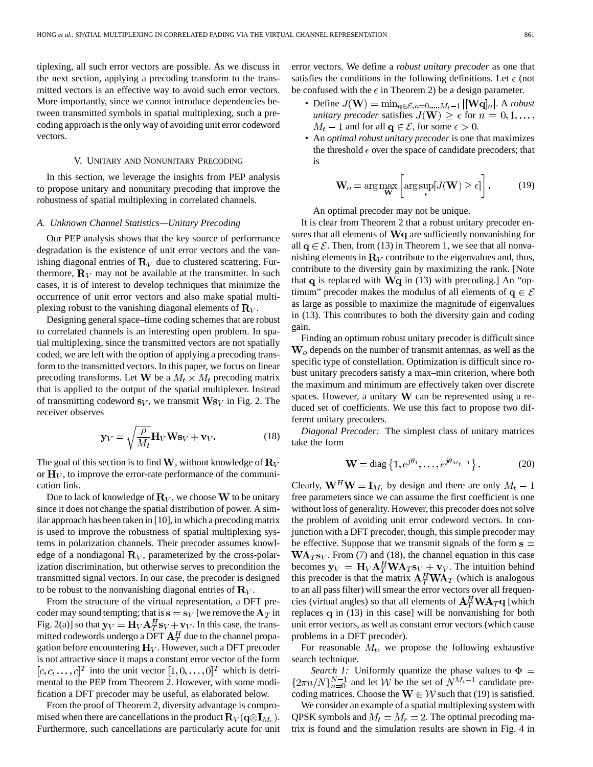tiplexing, all such error vectors are possible. As we discuss in the next section, applying a precoding transform to the transmitted vectors is an effective way to avoid such error vectors. More importantly, since we cannot introduce dependencies between transmitted symbols in spatial multiplexing, such a precoding approach is the only way of avoiding unit error codeword vectors.

# V. UNITARY AND NONUNITARY PRECODING

In this section, we leverage the insights from PEP analysis to propose unitary and nonunitary precoding that improve the robustness of spatial multiplexing in correlated channels.

### *A. Unknown Channel Statistics—Unitary Precoding*

Our PEP analysis shows that the key source of performance degradation is the existence of unit error vectors and the vanishing diagonal entries of  $\mathbf{R}_V$  due to clustered scattering. Furthermore,  $\mathbf{R}_V$  may not be available at the transmitter. In such cases, it is of interest to develop techniques that minimize the occurrence of unit error vectors and also make spatial multiplexing robust to the vanishing diagonal elements of  $\mathbf{R}_V$ .

Designing general space–time coding schemes that are robust to correlated channels is an interesting open problem. In spatial multiplexing, since the transmitted vectors are not spatially coded, we are left with the option of applying a precoding transform to the transmitted vectors. In this paper, we focus on linear precoding transforms. Let **W** be a  $M_t \times M_t$  precoding matrix that is applied to the output of the spatial multiplexer. Instead of transmitting codeword  $s_V$ , we transmit  $Ws_V$  in Fig. 2. The receiver observes

$$
\mathbf{y}_V = \sqrt{\frac{\rho}{M_t}} \mathbf{H}_V \mathbf{W} \mathbf{s}_V + \mathbf{v}_V.
$$
 (18)

The goal of this section is to find W, without knowledge of  $\mathbf{R}_V$ or  $\mathbf{H}_V$ , to improve the error-rate performance of the communication link.

Due to lack of knowledge of  $\mathbf{R}_V$ , we choose **W** to be unitary since it does not change the spatial distribution of power. A similar approach has been taken in [10], in which a precoding matrix is used to improve the robustness of spatial multiplexing systems in polarization channels. Their precoder assumes knowledge of a nondiagonal  $\mathbf{R}_V$ , parameterized by the cross-polarization discrimination, but otherwise serves to precondition the transmitted signal vectors. In our case, the precoder is designed to be robust to the nonvanishing diagonal entries of  $\mathbf{R}_V$ .

From the structure of the virtual representation, a DFT precoder may sound tempting; that is  $\mathbf{s} = \mathbf{s}_V$  [we remove the  $\mathbf{A}_T$  in Fig. 2(a)] so that  $\mathbf{y}_V = \mathbf{H}_V \mathbf{A}_T^H \mathbf{s}_V + \mathbf{v}_V$ . In this case, the transmitted codewords undergo a DFT  $A_T^H$  due to the channel propagation before encountering  $\mathbf{H}_V$ . However, such a DFT precoder is not attractive since it maps a constant error vector of the form  $[c, c, \dots, c]^T$  into the unit vector  $[1, 0, \dots, 0]^T$  which is detrimental to the PEP from Theorem 2. However, with some modification a DFT precoder may be useful, as elaborated below.

From the proof of Theorem 2, diversity advantage is compromised when there are cancellations in the product  $\mathbf{R}_V(\mathbf{q} \otimes \mathbf{I}_{M_r})$ . Furthermore, such cancellations are particularly acute for unit error vectors. We define a *robust unitary precoder* as one that satisfies the conditions in the following definitions. Let  $\epsilon$  (not be confused with the  $\epsilon$  in Theorem 2) be a design parameter.

- Define  $J(\mathbf{W}) = \min_{\mathbf{q} \in \mathcal{E}, n=0,\dots,M_t-1} |[\mathbf{W}\mathbf{q}]_n|$ . A *robust unitary precoder* satisfies  $J(\mathbf{W}) \geq \epsilon$  for  $n = 0, 1, \ldots$ ,  $M_t - 1$  and for all  $q \in \mathcal{E}$ , for some  $\epsilon > 0$ .
- An *optimal robust unitary precoder* is one that maximizes the threshold  $\epsilon$  over the space of candidate precoders; that is

$$
\mathbf{W}_o = \arg\max_{\mathbf{W}} \left[ \arg\sup_{\epsilon} [J(\mathbf{W}) \ge \epsilon] \right]. \tag{19}
$$

An optimal precoder may not be unique.

It is clear from Theorem 2 that a robust unitary precoder ensures that all elements of  $Wq$  are sufficiently nonvanishing for all  $q \in \mathcal{E}$ . Then, from (13) in Theorem 1, we see that all nonvanishing elements in  $\mathbf{R}_V$  contribute to the eigenvalues and, thus, contribute to the diversity gain by maximizing the rank. [Note that q is replaced with  $Wq$  in (13) with precoding.] An "optimum" precoder makes the modulus of all elements of  $q \in \mathcal{E}$ as large as possible to maximize the magnitude of eigenvalues in (13). This contributes to both the diversity gain and coding gain.

Finding an optimum robust unitary precoder is difficult since  $W<sub>o</sub>$  depends on the number of transmit antennas, as well as the specific type of constellation. Optimization is difficult since robust unitary precoders satisfy a max–min criterion, where both the maximum and minimum are effectively taken over discrete spaces. However, a unitary  $W$  can be represented using a reduced set of coefficients. We use this fact to propose two different unitary precoders.

*Diagonal Precoder:* The simplest class of unitary matrices take the form

$$
\mathbf{W} = \text{diag}\left\{1, e^{j\theta_1}, \dots, e^{j\theta_{M_t - 1}}\right\}.
$$
 (20)

Clearly,  $\mathbf{W}^H \mathbf{W} = \mathbf{I}_{M_t}$  by design and there are only  $M_t - 1$ free parameters since we can assume the first coefficient is one without loss of generality. However, this precoder does not solve the problem of avoiding unit error codeword vectors. In conjunction with a DFT precoder, though, this simple precoder may be effective. Suppose that we transmit signals of the form  $s =$  $WA_{T}$ S<sub>V</sub>. From (7) and (18), the channel equation in this case becomes  $y_V = H_V A_T^H W A_T s_V + v_V$ . The intuition behind this precoder is that the matrix  $A_T^H W A_T$  (which is analogous to an all pass filter) will smear the error vectors over all frequencies (virtual angles) so that all elements of  $A_T^H W A_T q$  [which replaces  $q$  in (13) in this case] will be nonvanishing for both unit error vectors, as well as constant error vectors (which cause problems in a DFT precoder).

For reasonable  $M_t$ , we propose the following exhaustive search technique.

*Search 1:* Uniformly quantize the phase values to and let *W* be the set of  $N^{M_t-1}$  candidate precoding matrices. Choose the  $W \in \mathcal{W}$  such that (19) is satisfied.

We consider an example of a spatial multiplexing system with QPSK symbols and  $M_t = M_r = 2$ . The optimal precoding matrix is found and the simulation results are shown in Fig. 4 in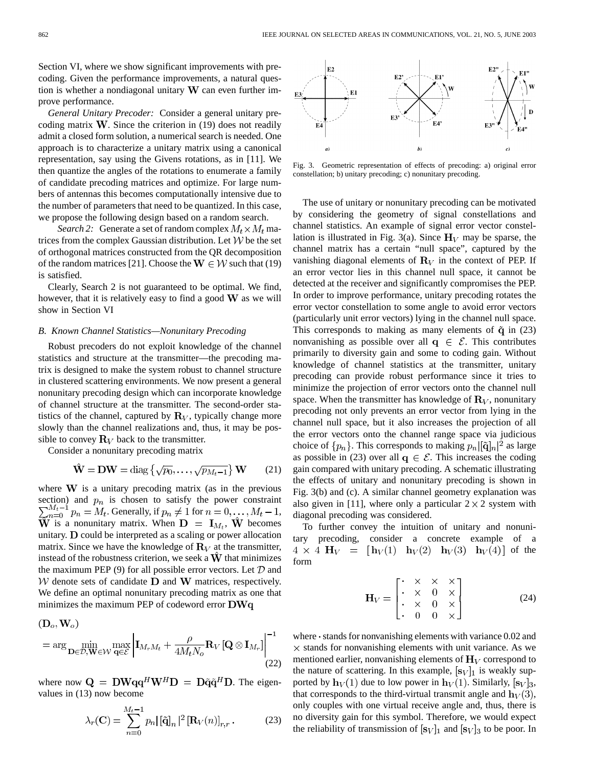Section VI, where we show significant improvements with precoding. Given the performance improvements, a natural question is whether a nondiagonal unitary  $W$  can even further improve performance.

*General Unitary Precoder:* Consider a general unitary precoding matrix  $W$ . Since the criterion in (19) does not readily admit a closed form solution, a numerical search is needed. One approach is to characterize a unitary matrix using a canonical representation, say using the Givens rotations, as in [11]. We then quantize the angles of the rotations to enumerate a family of candidate precoding matrices and optimize. For large numbers of antennas this becomes computationally intensive due to the number of parameters that need to be quantized. In this case, we propose the following design based on a random search.

*Search 2:* Generate a set of random complex  $M_t \times M_t$  matrices from the complex Gaussian distribution. Let  $W$  be the set of orthogonal matrices constructed from the QR decomposition of the random matrices [21]. Choose the  $W \in \mathcal{W}$  such that (19) is satisfied.

Clearly, Search 2 is not guaranteed to be optimal. We find, however, that it is relatively easy to find a good  $W$  as we will show in Section VI

#### *B. Known Channel Statistics—Nonunitary Precoding*

Robust precoders do not exploit knowledge of the channel statistics and structure at the transmitter—the precoding matrix is designed to make the system robust to channel structure in clustered scattering environments. We now present a general nonunitary precoding design which can incorporate knowledge of channel structure at the transmitter. The second-order statistics of the channel, captured by  $\mathbf{R}_V$ , typically change more slowly than the channel realizations and, thus, it may be possible to convey  $\mathbf{R}_V$  back to the transmitter.

Consider a nonunitary precoding matrix

$$
\hat{\mathbf{W}} = \mathbf{D}\mathbf{W} = \text{diag}\left\{\sqrt{p_0}, \dots, \sqrt{p_{M_t - 1}}\right\} \mathbf{W} \qquad (21)
$$

where  $W$  is a unitary precoding matrix (as in the previous section) and  $p_n$  is chosen to satisfy the power constraint  $\sum_{n=0}^{M_t-1} p_n = M_t$ . Generally, if  $p_n \neq 1$  for  $n = 0, \ldots, M_t-1$ ,  $\hat{\mathbf{W}}$  is a nonunitary matrix. When  $\mathbf{D} = \mathbf{I}_{M_t}$ ,  $\hat{\mathbf{W}}$  becomes unitary.  $D$  could be interpreted as a scaling or power allocation matrix. Since we have the knowledge of  $\mathbf{R}_V$  at the transmitter, instead of the robustness criterion, we seek a  $\hat{W}$  that minimizes the maximum PEP (9) for all possible error vectors. Let  $D$  and  $W$  denote sets of candidate  $D$  and  $W$  matrices, respectively. We define an optimal nonunitary precoding matrix as one that minimizes the maximum PEP of codeword error  $\bf{DWq}$ 

$$
\begin{aligned} &\left(\mathbf{D}_o, \mathbf{W}_o\right) \\ &= \arg\min_{\mathbf{D}\in\mathcal{D}, \mathbf{W}\in\mathcal{W}} \max_{\mathbf{q}\in\mathcal{E}} \left| \mathbf{I}_{M_r M_t} + \frac{\rho}{4M_t N_o} \mathbf{R}_V \left[ \mathbf{Q} \otimes \mathbf{I}_{M_r} \right] \right|^{-1} \end{aligned} \tag{22}
$$

where now  $Q = D W q q^H W^H D = D \tilde{q} \tilde{q}^H D$ . The eigenvalues in (13) now become

$$
\lambda_r(\mathbf{C}) = \sum_{n=0}^{M_t - 1} p_n |[\tilde{\mathbf{q}}]_n|^2 [\mathbf{R}_V(n)]_{r,r} . \tag{23}
$$



Fig. 3. Geometric representation of effects of precoding: a) original error constellation; b) unitary precoding; c) nonunitary precoding.

The use of unitary or nonunitary precoding can be motivated by considering the geometry of signal constellations and channel statistics. An example of signal error vector constellation is illustrated in Fig. 3(a). Since  $\mathbf{H}_V$  may be sparse, the channel matrix has a certain "null space", captured by the vanishing diagonal elements of  $\mathbf{R}_V$  in the context of PEP. If an error vector lies in this channel null space, it cannot be detected at the receiver and significantly compromises the PEP. In order to improve performance, unitary precoding rotates the error vector constellation to some angle to avoid error vectors (particularly unit error vectors) lying in the channel null space. This corresponds to making as many elements of  $\tilde{q}$  in (23) nonvanishing as possible over all  $q \in \mathcal{E}$ . This contributes primarily to diversity gain and some to coding gain. Without knowledge of channel statistics at the transmitter, unitary precoding can provide robust performance since it tries to minimize the projection of error vectors onto the channel null space. When the transmitter has knowledge of  $\mathbf{R}_V$ , nonunitary precoding not only prevents an error vector from lying in the channel null space, but it also increases the projection of all the error vectors onto the channel range space via judicious choice of  $\{p_n\}$ . This corresponds to making  $p_n |[\tilde{\mathbf{q}}]_n|^2$  as large as possible in (23) over all  $q \in \mathcal{E}$ . This increases the coding gain compared with unitary precoding. A schematic illustrating the effects of unitary and nonunitary precoding is shown in Fig. 3(b) and (c). A similar channel geometry explanation was also given in [11], where only a particular  $2 \times 2$  system with diagonal precoding was considered.

To further convey the intuition of unitary and nonunitary precoding, consider a concrete example of a  $4 \times 4$  H<sub>V</sub> =  $[\mathbf{h}_V(1) \quad \mathbf{h}_V(2) \quad \mathbf{h}_V(3) \quad \mathbf{h}_V(4)]$  of the form

$$
\mathbf{H}_V = \begin{bmatrix} \cdot & \times & \times & \times \\ \cdot & \times & 0 & \times \\ \cdot & \times & 0 & \times \\ \cdot & 0 & 0 & \times \end{bmatrix}
$$
 (24)

where  $\cdot$  stands for nonvanishing elements with variance 0.02 and  $\times$  stands for nonvanishing elements with unit variance. As we mentioned earlier, nonvanishing elements of  $\mathbf{H}_V$  correspond to the nature of scattering. In this example,  $[\mathbf{s}_V]_1$  is weakly supported by  $\mathbf{h}_V(1)$  due to low power in  $\mathbf{h}_V(1)$ . Similarly,  $[\mathbf{s}_V]_3$ , that corresponds to the third-virtual transmit angle and  $h_V(3)$ , only couples with one virtual receive angle and, thus, there is no diversity gain for this symbol. Therefore, we would expect the reliability of transmission of  $[s_V]_1$  and  $[s_V]_3$  to be poor. In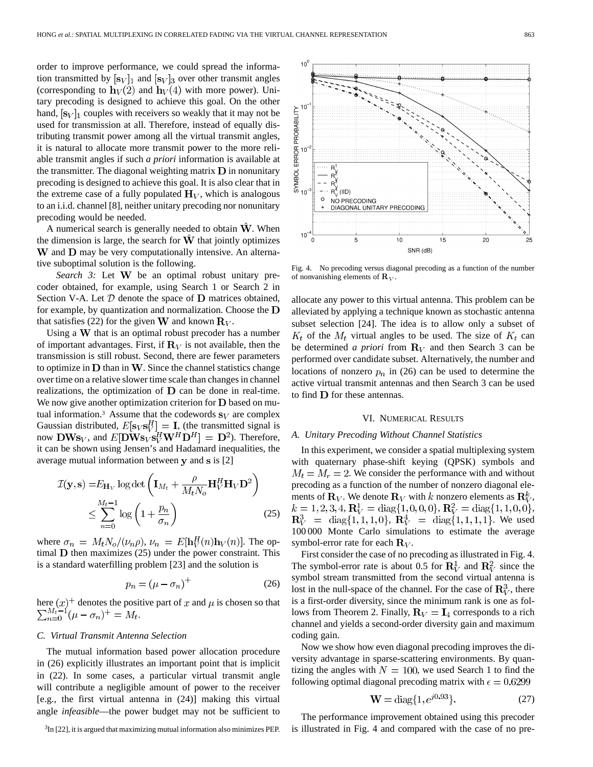order to improve performance, we could spread the information transmitted by  $[\mathbf{s}_V]_1$  and  $[\mathbf{s}_V]_3$  over other transmit angles (corresponding to  $h_V(2)$  and  $h_V(4)$  with more power). Unitary precoding is designed to achieve this goal. On the other hand,  $[\mathbf{s}_V]_1$  couples with receivers so weakly that it may not be used for transmission at all. Therefore, instead of equally distributing transmit power among all the virtual transmit angles, it is natural to allocate more transmit power to the more reliable transmit angles if such *a priori* information is available at the transmitter. The diagonal weighting matrix  **in nonunitary** precoding is designed to achieve this goal. It is also clear that in the extreme case of a fully populated  $\mathbf{H}_V$ , which is analogous to an i.i.d. channel [8], neither unitary precoding nor nonunitary precoding would be needed.

A numerical search is generally needed to obtain  $\hat{W}$ . When the dimension is large, the search for  $\hat{W}$  that jointly optimizes  $W$  and  $D$  may be very computationally intensive. An alternative suboptimal solution is the following.

*Search 3:* Let **W** be an optimal robust unitary precoder obtained, for example, using Search 1 or Search 2 in Section V-A. Let  $D$  denote the space of  $D$  matrices obtained, for example, by quantization and normalization. Choose the  $D$ that satisfies (22) for the given W and known  $\mathbf{R}_V$ .

Using a  $W$  that is an optimal robust precoder has a number of important advantages. First, if  $\mathbf{R}_V$  is not available, then the transmission is still robust. Second, there are fewer parameters to optimize in  $D$  than in W. Since the channel statistics change over time on a relative slower time scale than changes in channel realizations, the optimization of  $D$  can be done in real-time. We now give another optimization criterion for  $D$  based on mutual information.<sup>3</sup> Assume that the codewords  $s_V$  are complex Gaussian distributed,  $E[\mathbf{s}_V \mathbf{s}_V^H] = \mathbf{I}$ , (the transmitted signal is now  $\mathbf{D}\mathbf{W}\mathbf{s}_V$ , and  $E[\mathbf{D}\mathbf{W}\mathbf{s}_V\mathbf{s}_V^H\mathbf{W}^H\mathbf{D}^H] = \mathbf{D}^2$ ). Therefore, it can be shown using Jensen's and Hadamard inequalities, the average mutual information between  $\bf{v}$  and  $\bf{s}$  is [2]

$$
\mathcal{I}(\mathbf{y}, \mathbf{s}) = E_{\mathbf{H}_V} \log \det \left( \mathbf{I}_{M_t} + \frac{\rho}{M_t N_o} \mathbf{H}_V^H \mathbf{H}_V \mathbf{D}^2 \right)
$$
  
 
$$
\leq \sum_{n=0}^{M_t - 1} \log \left( 1 + \frac{p_n}{\sigma_n} \right) \tag{25}
$$

where  $\sigma_n = M_t N_o/(\nu_n \rho)$ ,  $\nu_n = E[\mathbf{h}_V^H(n) \mathbf{h}_V(n)]$ . The optimal  $D$  then maximizes (25) under the power constraint. This is a standard waterfilling problem [23] and the solution is

$$
p_n = (\mu - \sigma_n)^+ \tag{26}
$$

here  $(x)^+$  denotes the positive part of x and  $\mu$  is chosen so that .

#### *C. Virtual Transmit Antenna Selection*

The mutual information based power allocation procedure in (26) explicitly illustrates an important point that is implicit in (22). In some cases, a particular virtual transmit angle will contribute a negligible amount of power to the receiver [e.g., the first virtual antenna in (24)] making this virtual angle *infeasible*—the power budget may not be sufficient to

3In [22], it is argued that maximizing mutual information also minimizes PEP.



Fig. 4. No precoding versus diagonal precoding as a function of the number of nonvanishing elements of  $\mathbf{R}_V$ .

allocate any power to this virtual antenna. This problem can be alleviated by applying a technique known as stochastic antenna subset selection [24]. The idea is to allow only a subset of  $K_t$  of the  $M_t$  virtual angles to be used. The size of  $K_t$  can be determined *a priori* from  $\mathbf{R}_V$  and then Search 3 can be performed over candidate subset. Alternatively, the number and locations of nonzero  $p_n$  in (26) can be used to determine the active virtual transmit antennas and then Search 3 can be used to find  $D$  for these antennas.

# VI. NUMERICAL RESULTS

# *A. Unitary Precoding Without Channel Statistics*

In this experiment, we consider a spatial multiplexing system with quaternary phase-shift keying (QPSK) symbols and  $M_t = M_r = 2$ . We consider the performance with and without precoding as a function of the number of nonzero diagonal elements of  $\mathbf{R}_V$ . We denote  $\mathbf{R}_V$  with k nonzero elements as  $\mathbf{R}_V^k$ ,  $k = 1, 2, 3, 4, \mathbb{R}_{V}^{1} = \text{diag}\{1, 0, 0, 0\}, \mathbb{R}_{V}^{2} = \text{diag}\{1, 1, 0, 0\},\$  $\mathbb{R}^3$  = diag{1,1,1,0},  $\mathbb{R}^4$  = diag{1,1,1,1}. We used 100 000 Monte Carlo simulations to estimate the average symbol-error rate for each  $\mathbf{R}_V$ .

First consider the case of no precoding as illustrated in Fig. 4. The symbol-error rate is about 0.5 for  $\mathbb{R}^1_V$  and  $\mathbb{R}^2_V$  since the symbol stream transmitted from the second virtual antenna is lost in the null-space of the channel. For the case of  $\mathbb{R}^3_V$ , there is a first-order diversity, since the minimum rank is one as follows from Theorem 2. Finally,  $R_V = I_4$  corresponds to a rich channel and yields a second-order diversity gain and maximum coding gain.

Now we show how even diagonal precoding improves the diversity advantage in sparse-scattering environments. By quantizing the angles with  $N = 100$ , we used Search 1 to find the following optimal diagonal precoding matrix with  $\epsilon = 0.6299$ 

$$
\mathbf{W} = \text{diag}\{1, e^{j0.93}\}.
$$
 (27)

The performance improvement obtained using this precoder is illustrated in Fig. 4 and compared with the case of no pre-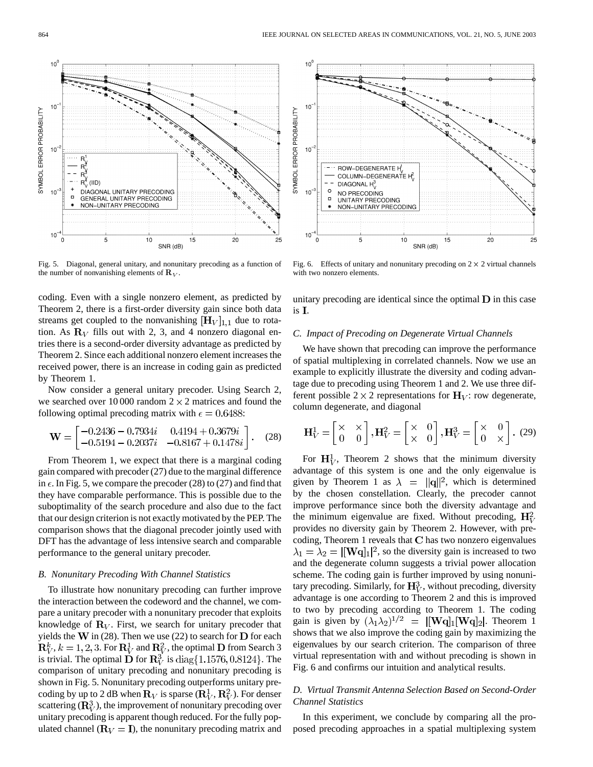

Fig. 5. Diagonal, general unitary, and nonunitary precoding as a function of the number of nonvanishing elements of  $\mathbf{R}_V$ .

coding. Even with a single nonzero element, as predicted by Theorem 2, there is a first-order diversity gain since both data streams get coupled to the nonvanishing  $[\mathbf{H}_V]_{1,1}$  due to rotation. As  $\mathbf{R}_V$  fills out with 2, 3, and 4 nonzero diagonal entries there is a second-order diversity advantage as predicted by Theorem 2. Since each additional nonzero element increases the received power, there is an increase in coding gain as predicted by Theorem 1.

Now consider a general unitary precoder. Using Search 2, we searched over 10 000 random  $2 \times 2$  matrices and found the following optimal precoding matrix with  $\epsilon = 0.6488$ :

$$
\mathbf{W} = \begin{bmatrix} -0.2436 - 0.7934i & 0.4194 + 0.3679i \\ -0.5194 - 0.2037i & -0.8167 + 0.1478i \end{bmatrix}.
$$
 (28)

From Theorem 1, we expect that there is a marginal coding gain compared with precoder (27) due to the marginal difference in  $\epsilon$ . In Fig. 5, we compare the precoder (28) to (27) and find that they have comparable performance. This is possible due to the suboptimality of the search procedure and also due to the fact that our design criterion is not exactly motivated by the PEP. The comparison shows that the diagonal precoder jointly used with DFT has the advantage of less intensive search and comparable performance to the general unitary precoder.

## *B. Nonunitary Precoding With Channel Statistics*

To illustrate how nonunitary precoding can further improve the interaction between the codeword and the channel, we compare a unitary precoder with a nonunitary precoder that exploits knowledge of  $\mathbf{R}_V$ . First, we search for unitary precoder that yields the W in (28). Then we use (22) to search for  $\bf{D}$  for each  $\mathbf{R}_V^k$ ,  $k = 1, 2, 3$ . For  $\mathbf{R}_V^1$  and  $\mathbf{R}_V^2$ , the optimal **D** from Search 3 is trivial. The optimal **D** for  $\mathbb{R}^3$  is  $diag\{1.1576, 0.8124\}$ . The comparison of unitary precoding and nonunitary precoding is shown in Fig. 5. Nonunitary precoding outperforms unitary precoding by up to 2 dB when  $\mathbf{R}_V$  is sparse  $( \mathbf{R}_V^1, \mathbf{R}_V^2)$ . For denser scattering  $({\bf R}_V^3)$ , the improvement of nonunitary precoding over unitary precoding is apparent though reduced. For the fully populated channel ( ${\bf R}_V = {\bf I}$ ), the nonunitary precoding matrix and



Fig. 6. Effects of unitary and nonunitary precoding on  $2 \times 2$  virtual channels with two nonzero elements.

unitary precoding are identical since the optimal  **in this case** is  $\mathbf{I}$ .

# *C. Impact of Precoding on Degenerate Virtual Channels*

We have shown that precoding can improve the performance of spatial multiplexing in correlated channels. Now we use an example to explicitly illustrate the diversity and coding advantage due to precoding using Theorem 1 and 2. We use three different possible  $2 \times 2$  representations for  $H_V$ : row degenerate, column degenerate, and diagonal

$$
\mathbf{H}_{V}^{1} = \begin{bmatrix} \times & \times \\ 0 & 0 \end{bmatrix}, \mathbf{H}_{V}^{2} = \begin{bmatrix} \times & 0 \\ \times & 0 \end{bmatrix}, \mathbf{H}_{V}^{3} = \begin{bmatrix} \times & 0 \\ 0 & \times \end{bmatrix}. (29)
$$

For  $H_V^1$ , Theorem 2 shows that the minimum diversity advantage of this system is one and the only eigenvalue is given by Theorem 1 as  $\lambda = ||q||^2$ , which is determined by the chosen constellation. Clearly, the precoder cannot improve performance since both the diversity advantage and the minimum eigenvalue are fixed. Without precoding,  $\mathbf{H}_{V}^{2}$ provides no diversity gain by Theorem 2. However, with precoding, Theorem 1 reveals that  $C$  has two nonzero eigenvalues  $\lambda_1 = \lambda_2 = |[\mathbf{W}\mathbf{q}]_1|^2$ , so the diversity gain is increased to two and the degenerate column suggests a trivial power allocation scheme. The coding gain is further improved by using nonunitary precoding. Similarly, for  $\mathbb{H}_{V}^{3}$ , without precoding, diversity advantage is one according to Theorem 2 and this is improved to two by precoding according to Theorem 1. The coding gain is given by  $(\lambda_1 \lambda_2)^{1/2} = ||\mathbf{W}\mathbf{q}]_1 |\mathbf{W}\mathbf{q}]_2$ . Theorem 1 shows that we also improve the coding gain by maximizing the eigenvalues by our search criterion. The comparison of three virtual representation with and without precoding is shown in Fig. 6 and confirms our intuition and analytical results.

# *D. Virtual Transmit Antenna Selection Based on Second-Order Channel Statistics*

In this experiment, we conclude by comparing all the proposed precoding approaches in a spatial multiplexing system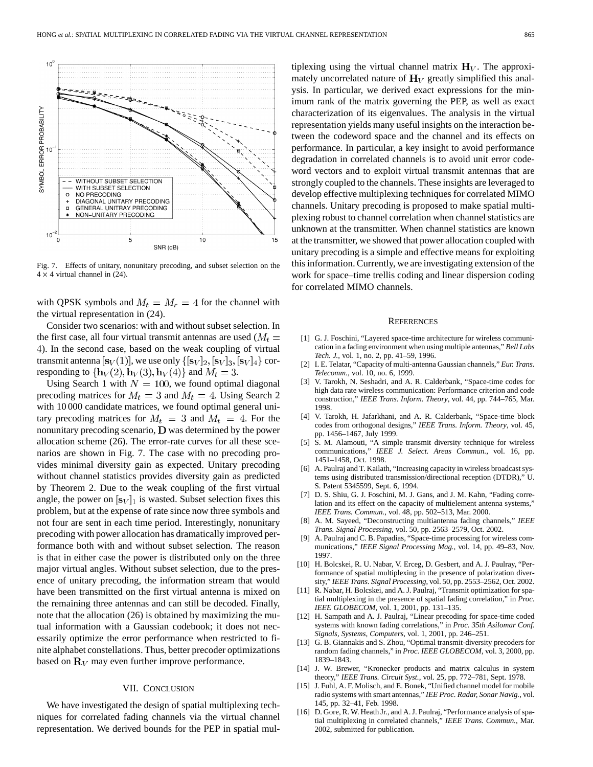

Fig. 7. Effects of unitary, nonunitary precoding, and subset selection on the  $4 \times 4$  virtual channel in (24).

with QPSK symbols and  $M_t = M_r = 4$  for the channel with the virtual representation in (24).

Consider two scenarios: with and without subset selection. In the first case, all four virtual transmit antennas are used  $(M_t =$ ). In the second case, based on the weak coupling of virtual transmit antenna  $[\mathbf{s}_V(1)]$ , we use only  $\{[\mathbf{s}_V]_2, [\mathbf{s}_V]_3, [\mathbf{s}_V]_4\}$  corresponding to  $\{h_V(2), h_V(3), h_V(4)\}\$  and  $M_t = 3$ .

Using Search 1 with  $N = 100$ , we found optimal diagonal precoding matrices for  $M_t = 3$  and  $M_t = 4$ . Using Search 2 with 10 000 candidate matrices, we found optimal general unitary precoding matrices for  $M_t = 3$  and  $M_t = 4$ . For the nonunitary precoding scenario,  $\bf{D}$  was determined by the power allocation scheme (26). The error-rate curves for all these scenarios are shown in Fig. 7. The case with no precoding provides minimal diversity gain as expected. Unitary precoding without channel statistics provides diversity gain as predicted by Theorem 2. Due to the weak coupling of the first virtual angle, the power on  $[s_V]_1$  is wasted. Subset selection fixes this problem, but at the expense of rate since now three symbols and not four are sent in each time period. Interestingly, nonunitary precoding with power allocation has dramatically improved performance both with and without subset selection. The reason is that in either case the power is distributed only on the three major virtual angles. Without subset selection, due to the presence of unitary precoding, the information stream that would have been transmitted on the first virtual antenna is mixed on the remaining three antennas and can still be decoded. Finally, note that the allocation (26) is obtained by maximizing the mutual information with a Gaussian codebook; it does not necessarily optimize the error performance when restricted to finite alphabet constellations. Thus, better precoder optimizations based on  $\mathbf{R}_V$  may even further improve performance.

# VII. CONCLUSION

We have investigated the design of spatial multiplexing techniques for correlated fading channels via the virtual channel representation. We derived bounds for the PEP in spatial multiplexing using the virtual channel matrix  $\mathbf{H}_V$ . The approximately uncorrelated nature of  $H_V$  greatly simplified this analysis. In particular, we derived exact expressions for the minimum rank of the matrix governing the PEP, as well as exact characterization of its eigenvalues. The analysis in the virtual representation yields many useful insights on the interaction between the codeword space and the channel and its effects on performance. In particular, a key insight to avoid performance degradation in correlated channels is to avoid unit error codeword vectors and to exploit virtual transmit antennas that are strongly coupled to the channels. These insights are leveraged to develop effective multiplexing techniques for correlated MIMO channels. Unitary precoding is proposed to make spatial multiplexing robust to channel correlation when channel statistics are unknown at the transmitter. When channel statistics are known at the transmitter, we showed that power allocation coupled with unitary precoding is a simple and effective means for exploiting this information. Currently, we are investigating extension of the work for space–time trellis coding and linear dispersion coding for correlated MIMO channels.

#### **REFERENCES**

- [1] G. J. Foschini, "Layered space-time architecture for wireless communication in a fading environment when using multiple antennas," *Bell Labs Tech. J.*, vol. 1, no. 2, pp. 41–59, 1996.
- [2] I. E. Telatar, "Capacity of multi-antenna Gaussian channels," *Eur. Trans. Telecomm.*, vol. 10, no. 6, 1999.
- [3] V. Tarokh, N. Seshadri, and A. R. Calderbank, "Space-time codes for high data rate wireless communication: Performance criterion and code construction," *IEEE Trans. Inform. Theory*, vol. 44, pp. 744–765, Mar. 1998.
- [4] V. Tarokh, H. Jafarkhani, and A. R. Calderbank, "Space-time block codes from orthogonal designs," *IEEE Trans. Inform. Theory*, vol. 45, pp. 1456–1467, July 1999.
- [5] S. M. Alamouti, "A simple transmit diversity technique for wireless communications," *IEEE J. Select. Areas Commun.*, vol. 16, pp. 1451–1458, Oct. 1998.
- [6] A. Paulraj and T. Kailath, "Increasing capacity in wireless broadcast systems using distributed transmission/directional reception (DTDR)," U. S. Patent 5345599, Sept. 6, 1994.
- [7] D. S. Shiu, G. J. Foschini, M. J. Gans, and J. M. Kahn, "Fading correlation and its effect on the capacity of multielement antenna systems," *IEEE Trans. Commun.*, vol. 48, pp. 502–513, Mar. 2000.
- [8] A. M. Sayeed, "Deconstructing multiantenna fading channels," *IEEE Trans. Signal Processing*, vol. 50, pp. 2563–2579, Oct. 2002.
- [9] A. Paulraj and C. B. Papadias, "Space-time processing for wireless communications," *IEEE Signal Processing Mag.*, vol. 14, pp. 49–83, Nov. 1997.
- [10] H. Bolcskei, R. U. Nabar, V. Erceg, D. Gesbert, and A. J. Paulray, "Performance of spatial multiplexing in the presence of polarization diversity," *IEEE Trans. Signal Processing*, vol. 50, pp. 2553–2562, Oct. 2002.
- [11] R. Nabar, H. Bolcskei, and A. J. Paulraj, "Transmit optimization for spatial multiplexing in the presence of spatial fading correlation," in *Proc. IEEE GLOBECOM*, vol. 1, 2001, pp. 131–135.
- [12] H. Sampath and A. J. Paulraj, "Linear precoding for space-time coded systems with known fading correlations," in *Proc. 35th Asilomar Conf. Signals, Systems, Computers*, vol. 1, 2001, pp. 246–251.
- [13] G. B. Giannakis and S. Zhou, "Optimal transmit-diversity precoders for random fading channels," in *Proc. IEEE GLOBECOM*, vol. 3, 2000, pp. 1839–1843.
- [14] J. W. Brewer, "Kronecker products and matrix calculus in system theory," *IEEE Trans. Circuit Syst.*, vol. 25, pp. 772–781, Sept. 1978.
- [15] J. Fuhl, A. F. Molisch, and E. Bonek, "Unified channel model for mobile radio systems with smart antennas," *IEE Proc. Radar, Sonar Navig.*, vol. 145, pp. 32–41, Feb. 1998.
- [16] D. Gore, R. W. Heath Jr., and A. J. Paulraj, "Performance analysis of spatial multiplexing in correlated channels," *IEEE Trans. Commun.*, Mar. 2002, submitted for publication.